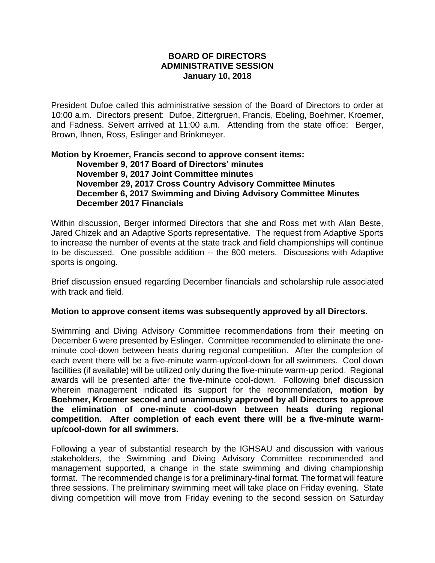## **BOARD OF DIRECTORS ADMINISTRATIVE SESSION January 10, 2018**

President Dufoe called this administrative session of the Board of Directors to order at 10:00 a.m. Directors present: Dufoe, Zittergruen, Francis, Ebeling, Boehmer, Kroemer, and Fadness. Seivert arrived at 11:00 a.m. Attending from the state office: Berger, Brown, Ihnen, Ross, Eslinger and Brinkmeyer.

## **Motion by Kroemer, Francis second to approve consent items: November 9, 2017 Board of Directors' minutes November 9, 2017 Joint Committee minutes November 29, 2017 Cross Country Advisory Committee Minutes December 6, 2017 Swimming and Diving Advisory Committee Minutes December 2017 Financials**

Within discussion, Berger informed Directors that she and Ross met with Alan Beste, Jared Chizek and an Adaptive Sports representative. The request from Adaptive Sports to increase the number of events at the state track and field championships will continue to be discussed. One possible addition -- the 800 meters. Discussions with Adaptive sports is ongoing.

Brief discussion ensued regarding December financials and scholarship rule associated with track and field.

## **Motion to approve consent items was subsequently approved by all Directors.**

Swimming and Diving Advisory Committee recommendations from their meeting on December 6 were presented by Eslinger. Committee recommended to eliminate the oneminute cool-down between heats during regional competition. After the completion of each event there will be a five-minute warm-up/cool-down for all swimmers. Cool down facilities (if available) will be utilized only during the five-minute warm-up period. Regional awards will be presented after the five-minute cool-down. Following brief discussion wherein management indicated its support for the recommendation, **motion by Boehmer, Kroemer second and unanimously approved by all Directors to approve the elimination of one-minute cool-down between heats during regional competition. After completion of each event there will be a five-minute warmup/cool-down for all swimmers.**

Following a year of substantial research by the IGHSAU and discussion with various stakeholders, the Swimming and Diving Advisory Committee recommended and management supported, a change in the state swimming and diving championship format. The recommended change is for a preliminary-final format. The format will feature three sessions. The preliminary swimming meet will take place on Friday evening. State diving competition will move from Friday evening to the second session on Saturday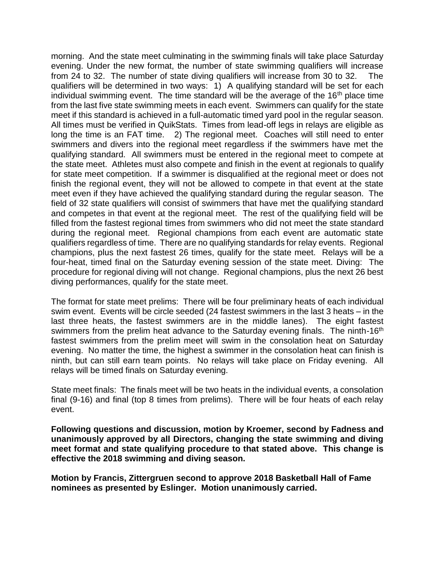morning. And the state meet culminating in the swimming finals will take place Saturday evening. Under the new format, the number of state swimming qualifiers will increase from 24 to 32. The number of state diving qualifiers will increase from 30 to 32. The qualifiers will be determined in two ways: 1) A qualifying standard will be set for each individual swimming event. The time standard will be the average of the  $16<sup>th</sup>$  place time from the last five state swimming meets in each event. Swimmers can qualify for the state meet if this standard is achieved in a full-automatic timed yard pool in the regular season. All times must be verified in QuikStats. Times from lead-off legs in relays are eligible as long the time is an FAT time. 2) The regional meet. Coaches will still need to enter swimmers and divers into the regional meet regardless if the swimmers have met the qualifying standard. All swimmers must be entered in the regional meet to compete at the state meet. Athletes must also compete and finish in the event at regionals to qualify for state meet competition. If a swimmer is disqualified at the regional meet or does not finish the regional event, they will not be allowed to compete in that event at the state meet even if they have achieved the qualifying standard during the regular season. The field of 32 state qualifiers will consist of swimmers that have met the qualifying standard and competes in that event at the regional meet. The rest of the qualifying field will be filled from the fastest regional times from swimmers who did not meet the state standard during the regional meet. Regional champions from each event are automatic state qualifiers regardless of time. There are no qualifying standards for relay events. Regional champions, plus the next fastest 26 times, qualify for the state meet. Relays will be a four-heat, timed final on the Saturday evening session of the state meet. Diving: The procedure for regional diving will not change. Regional champions, plus the next 26 best diving performances, qualify for the state meet.

The format for state meet prelims: There will be four preliminary heats of each individual swim event. Events will be circle seeded (24 fastest swimmers in the last 3 heats – in the last three heats, the fastest swimmers are in the middle lanes). The eight fastest swimmers from the prelim heat advance to the Saturday evening finals. The ninth-16<sup>th</sup> fastest swimmers from the prelim meet will swim in the consolation heat on Saturday evening. No matter the time, the highest a swimmer in the consolation heat can finish is ninth, but can still earn team points. No relays will take place on Friday evening. All relays will be timed finals on Saturday evening.

State meet finals: The finals meet will be two heats in the individual events, a consolation final (9-16) and final (top 8 times from prelims). There will be four heats of each relay event.

**Following questions and discussion, motion by Kroemer, second by Fadness and unanimously approved by all Directors, changing the state swimming and diving meet format and state qualifying procedure to that stated above. This change is effective the 2018 swimming and diving season.** 

**Motion by Francis, Zittergruen second to approve 2018 Basketball Hall of Fame nominees as presented by Eslinger. Motion unanimously carried.**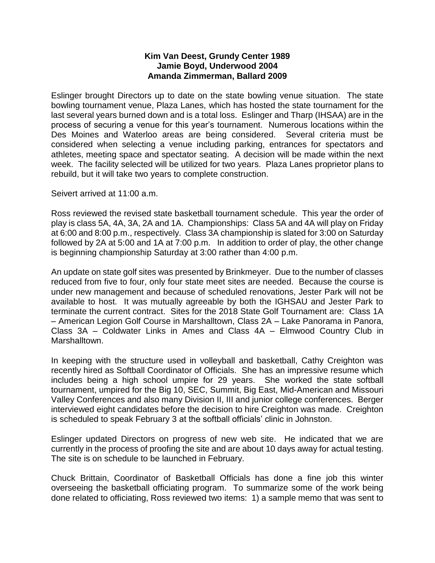## **Kim Van Deest, Grundy Center 1989 Jamie Boyd, Underwood 2004 Amanda Zimmerman, Ballard 2009**

Eslinger brought Directors up to date on the state bowling venue situation. The state bowling tournament venue, Plaza Lanes, which has hosted the state tournament for the last several years burned down and is a total loss. Eslinger and Tharp (IHSAA) are in the process of securing a venue for this year's tournament. Numerous locations within the Des Moines and Waterloo areas are being considered. Several criteria must be considered when selecting a venue including parking, entrances for spectators and athletes, meeting space and spectator seating. A decision will be made within the next week. The facility selected will be utilized for two years. Plaza Lanes proprietor plans to rebuild, but it will take two years to complete construction.

Seivert arrived at 11:00 a.m.

Ross reviewed the revised state basketball tournament schedule. This year the order of play is class 5A, 4A, 3A, 2A and 1A. Championships: Class 5A and 4A will play on Friday at 6:00 and 8:00 p.m., respectively. Class 3A championship is slated for 3:00 on Saturday followed by 2A at 5:00 and 1A at 7:00 p.m. In addition to order of play, the other change is beginning championship Saturday at 3:00 rather than 4:00 p.m.

An update on state golf sites was presented by Brinkmeyer. Due to the number of classes reduced from five to four, only four state meet sites are needed. Because the course is under new management and because of scheduled renovations, Jester Park will not be available to host. It was mutually agreeable by both the IGHSAU and Jester Park to terminate the current contract. Sites for the 2018 State Golf Tournament are: Class 1A – American Legion Golf Course in Marshalltown, Class 2A – Lake Panorama in Panora, Class 3A – Coldwater Links in Ames and Class 4A – Elmwood Country Club in Marshalltown.

In keeping with the structure used in volleyball and basketball, Cathy Creighton was recently hired as Softball Coordinator of Officials. She has an impressive resume which includes being a high school umpire for 29 years. She worked the state softball tournament, umpired for the Big 10, SEC, Summit, Big East, Mid-American and Missouri Valley Conferences and also many Division II, III and junior college conferences. Berger interviewed eight candidates before the decision to hire Creighton was made. Creighton is scheduled to speak February 3 at the softball officials' clinic in Johnston.

Eslinger updated Directors on progress of new web site. He indicated that we are currently in the process of proofing the site and are about 10 days away for actual testing. The site is on schedule to be launched in February.

Chuck Brittain, Coordinator of Basketball Officials has done a fine job this winter overseeing the basketball officiating program. To summarize some of the work being done related to officiating, Ross reviewed two items: 1) a sample memo that was sent to